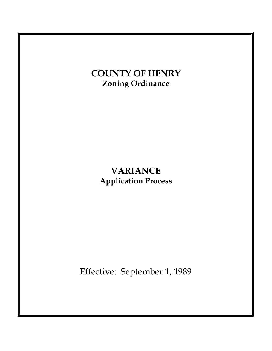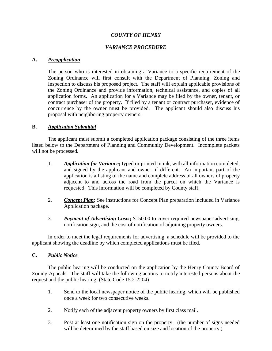## *COUNTY OF HENRY*

## *VARIANCE PROCEDURE*

### **A.** *Preapplication*

The person who is interested in obtaining a Variance to a specific requirement of the Zoning Ordinance will first consult with the Department of Planning, Zoning and Inspection to discuss his proposed project. The staff will explain applicable provisions of the Zoning Ordinance and provide information, technical assistance, and copies of all application forms. An application for a Variance may be filed by the owner, tenant, or contract purchaser of the property. If filed by a tenant or contract purchaser, evidence of concurrence by the owner must be provided. The applicant should also discuss his proposal with neighboring property owners.

### **B.** *Application Submittal*

The applicant must submit a completed application package consisting of the three items listed below to the Department of Planning and Community Development. Incomplete packets will not be processed.

- 1. *Application for Variance***;** typed or printed in ink, with all information completed, and signed by the applicant and owner, if different. An important part of the application is a listing of the name and complete address of all owners of property adjacent to and across the road from the parcel on which the Variance is requested. This information will be completed by County staff.
- 2. *Concept Plan***;** See instructions for Concept Plan preparation included in Variance Application package.
- 3. *Payment of Advertising Costs***;** \$150.00 to cover required newspaper advertising, notification sign, and the cost of notification of adjoining property owners.

In order to meet the legal requirements for advertising, a schedule will be provided to the applicant showing the deadline by which completed applications must be filed.

### **C.** *Public Notice*

The public hearing will be conducted on the application by the Henry County Board of Zoning Appeals. The staff will take the following actions to notify interested persons about the request and the public hearing: (State Code 15.2-2204)

- 1. Send to the local newspaper notice of the public hearing, which will be published once a week for two consecutive weeks.
- 2. Notify each of the adjacent property owners by first class mail.
- 3. Post at least one notification sign on the property. (the number of signs needed will be determined by the staff based on size and location of the property.)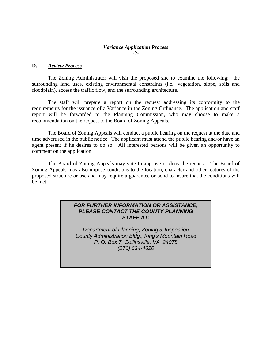### *Variance Application Process* -2-

### **D.** *Review Process*

The Zoning Administrator will visit the proposed site to examine the following: the surrounding land uses, existing environmental constraints (i.e., vegetation, slope, soils and floodplain), access the traffic flow, and the surrounding architecture.

The staff will prepare a report on the request addressing its conformity to the requirements for the issuance of a Variance in the Zoning Ordinance. The application and staff report will be forwarded to the Planning Commission, who may choose to make a recommendation on the request to the Board of Zoning Appeals.

The Board of Zoning Appeals will conduct a public hearing on the request at the date and time advertised in the public notice. The applicant must attend the public hearing and/or have an agent present if he desires to do so. All interested persons will be given an opportunity to comment on the application.

The Board of Zoning Appeals may vote to approve or deny the request. The Board of Zoning Appeals may also impose conditions to the location, character and other features of the proposed structure or use and may require a guarantee or bond to insure that the conditions will be met.

## *FOR FURTHER INFORMATION OR ASSISTANCE, PLEASE CONTACT THE COUNTY PLANNING STAFF AT:*

*Department of Planning, Zoning & Inspection County Administration Bldg., King's Mountain Road P. O. Box 7, Collinsville, VA 24078 (276) 634-4620*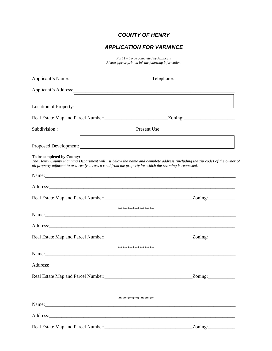# *COUNTY OF HENRY*

# *APPLICATION FOR VARIANCE*

*Part 1 – To be completed by Applicant Please type or print in ink the following information.*

| Applicant's Name:                                                                                                                       |                                                                                                                                                                                                                                |
|-----------------------------------------------------------------------------------------------------------------------------------------|--------------------------------------------------------------------------------------------------------------------------------------------------------------------------------------------------------------------------------|
| Applicant's Address:                                                                                                                    |                                                                                                                                                                                                                                |
|                                                                                                                                         | Location of Property!                                                                                                                                                                                                          |
|                                                                                                                                         | Real Estate Map and Parcel Number: _________________________________Zoning: __________________________________                                                                                                                 |
|                                                                                                                                         |                                                                                                                                                                                                                                |
|                                                                                                                                         |                                                                                                                                                                                                                                |
| To be completed by County:<br>all property adjacent to or directly across a road from the property for which the rezoning is requested. | The Henry County Planning Department will list below the name and complete address (including the zip code) of the owner of                                                                                                    |
|                                                                                                                                         |                                                                                                                                                                                                                                |
|                                                                                                                                         | Address: Andreas Address: Address: Address: Address: Address: Address: Address: Address: Address: Address: Address: Address: Address: Address: Address: Address: Address: Address: Address: Address: Address: Address: Address |
|                                                                                                                                         |                                                                                                                                                                                                                                |
|                                                                                                                                         | ***************                                                                                                                                                                                                                |
|                                                                                                                                         |                                                                                                                                                                                                                                |
|                                                                                                                                         |                                                                                                                                                                                                                                |
|                                                                                                                                         |                                                                                                                                                                                                                                |
|                                                                                                                                         | ***************                                                                                                                                                                                                                |
|                                                                                                                                         | Name: Name:                                                                                                                                                                                                                    |
|                                                                                                                                         |                                                                                                                                                                                                                                |
|                                                                                                                                         | Zoning:                                                                                                                                                                                                                        |
|                                                                                                                                         |                                                                                                                                                                                                                                |
|                                                                                                                                         | ***************                                                                                                                                                                                                                |
|                                                                                                                                         |                                                                                                                                                                                                                                |
|                                                                                                                                         | Address: Andreas Address: Address: Address: Address: Address: Address: Address: Address: Address: Address: Address: Address: Address: Address: Address: Address: Address: Address: Address: Address: Address: Address: Address |
|                                                                                                                                         |                                                                                                                                                                                                                                |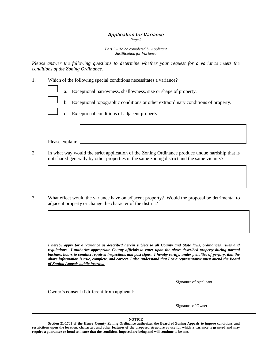# *Application for Variance*

*Page 2*

*Part 2 – To be completed by Applicant Justification for Variance*

*Please answer the following questions to determine whether your request for a variance meets the conditions of the Zoning Ordinance.*

1. Which of the following special conditions necessitates a variance?

- a. Exceptional narrowness, shallowness, size or shape of property.
- b. Exceptional topographic conditions or other extraordinary conditions of property.
	- c. Exceptional conditions of adjacent property.

Please explain:

- 2. In what way would the strict application of the Zoning Ordinance produce undue hardship that is not shared generally by other properties in the same zoning district and the same vicinity?
- 3. What effect would the variance have on adjacent property? Would the proposal be detrimental to adjacent property or change the character of the district?

*I hereby apply for a Variance as described herein subject to all County and State laws, ordinances, rules and regulations. I authorize appropriate County officials to enter upon the above-described property during normal business hours to conduct required inspections and post signs. I hereby certify, under penalties of perjury, that the above information is true, complete, and correct. I also understand that I or a representative must attend the Board of Zoning Appeals public hearing.*

Signature of Applicant

\_\_\_\_\_\_\_\_\_\_\_\_\_\_\_\_\_\_\_\_\_\_\_\_\_\_\_\_\_\_\_\_

Owner's consent if different from applicant:

I

\_\_\_\_\_\_\_\_\_\_\_\_\_\_\_\_\_\_\_\_\_\_\_\_\_\_\_\_\_\_\_\_ Signature of Owner

**NOTICE**

**Section 21-1701 of the Henry County Zoning Ordinance authorizes the Board of Zoning Appeals to impose conditions and restrictions upon the location, character, and other features of the proposed structure or use for which a variance is granted and may require a guarantee or bond to insure that the conditions imposed are being and will continue to be met.**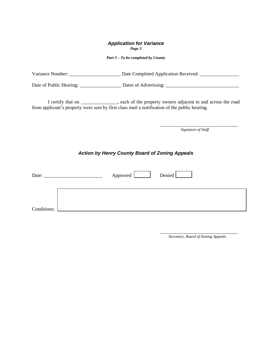#### *Application for Variance Page 3*

*Part 3 – To be completed by County*

| Variance Number:<br>Date Completed Application Received: |  |
|----------------------------------------------------------|--|
|----------------------------------------------------------|--|

Date of Public Hearing: \_\_\_\_\_\_\_\_\_\_\_\_\_\_\_\_\_ Dates of Advertising: \_\_\_\_\_\_\_\_\_\_\_\_\_\_\_\_\_\_\_\_\_\_\_\_\_\_\_\_\_\_

I certify that on \_\_\_\_\_\_\_\_\_\_\_\_\_\_\_, each of the property owners adjacent to and across the road from applicant's property were sent by first class mail a notification of the public hearing.

*Signature of Staff*

\_\_\_\_\_\_\_\_\_\_\_\_\_\_\_\_\_\_\_\_\_\_\_\_\_\_\_\_\_\_\_\_

## *Action by Henry County Board of Zoning Appeals*

| Date:       |  | Approved <u>Landell</u> | Denied |  |
|-------------|--|-------------------------|--------|--|
|             |  |                         |        |  |
| Conditions: |  |                         |        |  |

\_\_\_\_\_\_\_\_\_\_\_\_\_\_\_\_\_\_\_\_\_\_\_\_\_\_\_\_\_\_\_\_ *Secretary, Board of Zoning Appeals*